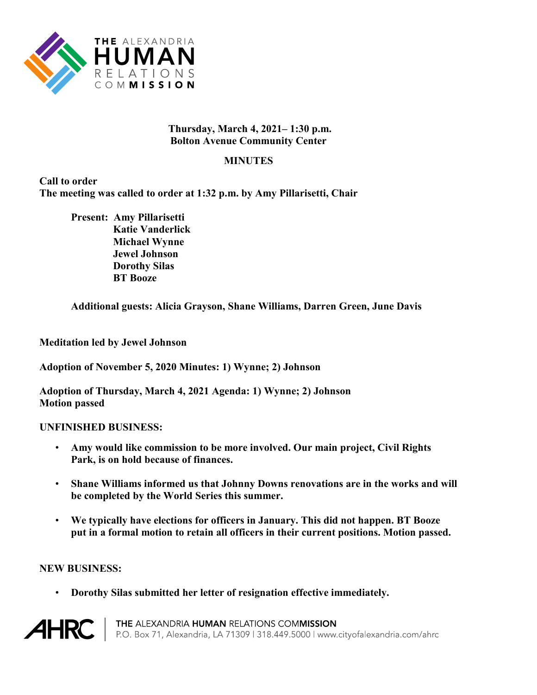

## **Thursday, March 4, 2021– 1:30 p.m. Bolton Avenue Community Center**

## **MINUTES**

**Call to order The meeting was called to order at 1:32 p.m. by Amy Pillarisetti, Chair**

**Present: Amy Pillarisetti Katie Vanderlick Michael Wynne Jewel Johnson Dorothy Silas BT Booze**

**Additional guests: Alicia Grayson, Shane Williams, Darren Green, June Davis** 

**Meditation led by Jewel Johnson**

**Adoption of November 5, 2020 Minutes: 1) Wynne; 2) Johnson**

**Adoption of Thursday, March 4, 2021 Agenda: 1) Wynne; 2) Johnson Motion passed**

## **UNFINISHED BUSINESS:**

- **Amy would like commission to be more involved. Our main project, Civil Rights Park, is on hold because of finances.**
- **Shane Williams informed us that Johnny Downs renovations are in the works and will be completed by the World Series this summer.**
- **We typically have elections for officers in January. This did not happen. BT Booze put in a formal motion to retain all officers in their current positions. Motion passed.**

## **NEW BUSINESS:**

• **Dorothy Silas submitted her letter of resignation effective immediately.**



THE ALEXANDRIA HUMAN RELATIONS COMMISSION P.O. Box 71, Alexandria, LA 71309 | 318.449.5000 | www.cityofalexandria.com/ahrc